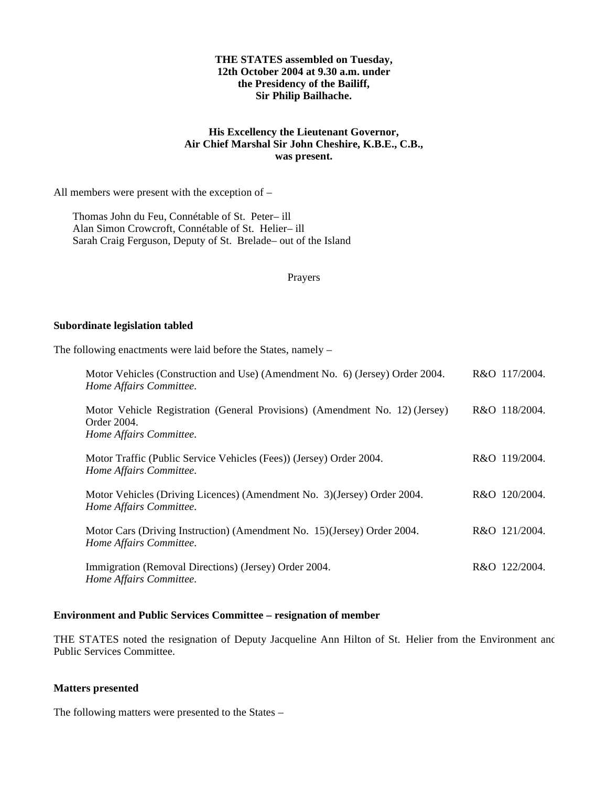## **THE STATES assembled on Tuesday, 12th October 2004 at 9.30 a.m. under the Presidency of the Bailiff, Sir Philip Bailhache.**

## **His Excellency the Lieutenant Governor, Air Chief Marshal Sir John Cheshire, K.B.E., C.B., was present.**

All members were present with the exception of –

Thomas John du Feu, Connétable of St. Peter- ill Alan Simon Crowcroft, Connétable of St. Helier-ill Sarah Craig Ferguson, Deputy of St. Brelade- out of the Island

Prayers

#### **Subordinate legislation tabled**

The following enactments were laid before the States, namely –

| Motor Vehicles (Construction and Use) (Amendment No. 6) (Jersey) Order 2004.<br>Home Affairs Committee.               | R&O 117/2004. |
|-----------------------------------------------------------------------------------------------------------------------|---------------|
| Motor Vehicle Registration (General Provisions) (Amendment No. 12) (Jersey)<br>Order 2004.<br>Home Affairs Committee. | R&O 118/2004. |
| Motor Traffic (Public Service Vehicles (Fees)) (Jersey) Order 2004.<br>Home Affairs Committee.                        | R&O 119/2004. |
| Motor Vehicles (Driving Licences) (Amendment No. 3) (Jersey) Order 2004.<br>Home Affairs Committee.                   | R&O 120/2004. |
| Motor Cars (Driving Instruction) (Amendment No. 15) (Jersey) Order 2004.<br>Home Affairs Committee.                   | R&O 121/2004. |
| Immigration (Removal Directions) (Jersey) Order 2004.<br>Home Affairs Committee.                                      | R&O 122/2004. |

## **Environment and Public Services Committee – resignation of member**

THE STATES noted the resignation of Deputy Jacqueline Ann Hilton of St. Helier from the Environment and Public Services Committee.

## **Matters presented**

The following matters were presented to the States –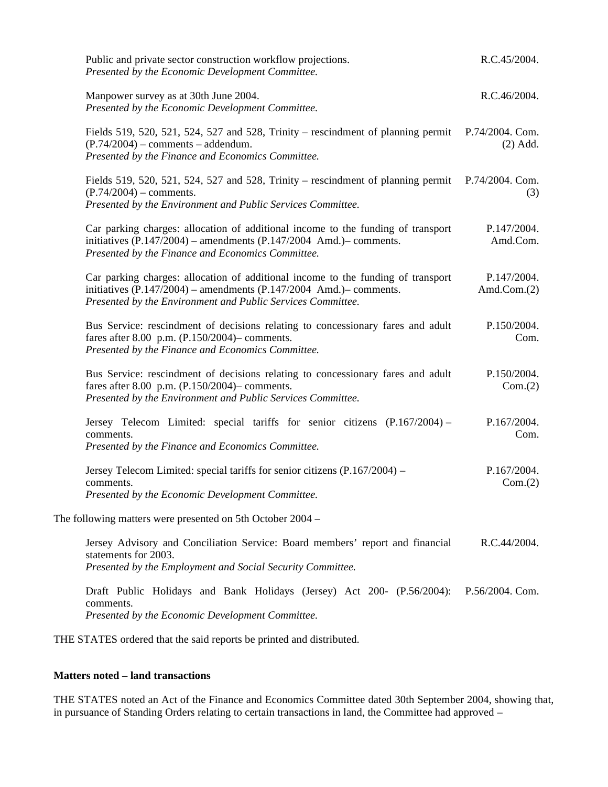| Public and private sector construction workflow projections.<br>Presented by the Economic Development Committee.                                                                                                          | R.C.45/2004.                  |
|---------------------------------------------------------------------------------------------------------------------------------------------------------------------------------------------------------------------------|-------------------------------|
| Manpower survey as at 30th June 2004.<br>Presented by the Economic Development Committee.                                                                                                                                 | R.C.46/2004.                  |
| Fields 519, 520, 521, 524, 527 and 528, Trinity – rescindment of planning permit<br>$(P.74/2004)$ – comments – addendum.<br>Presented by the Finance and Economics Committee.                                             | P.74/2004. Com.<br>$(2)$ Add. |
| Fields 519, 520, 521, 524, 527 and 528, Trinity – rescindment of planning permit P.74/2004. Com.<br>$(P.74/2004)$ – comments.<br>Presented by the Environment and Public Services Committee.                              | (3)                           |
| Car parking charges: allocation of additional income to the funding of transport<br>initiatives $(P.147/2004)$ – amendments $(P.147/2004$ Amd.)– comments.<br>Presented by the Finance and Economics Committee.           | P.147/2004.<br>Amd.Com.       |
| Car parking charges: allocation of additional income to the funding of transport<br>initiatives $(P.147/2004)$ – amendments $(P.147/2004$ Amd.)– comments.<br>Presented by the Environment and Public Services Committee. | P.147/2004.<br>Amd.Com. $(2)$ |
| Bus Service: rescindment of decisions relating to concessionary fares and adult<br>fares after 8.00 p.m. $(P.150/2004)$ - comments.<br>Presented by the Finance and Economics Committee.                                  | P.150/2004.<br>Com.           |
| Bus Service: rescindment of decisions relating to concessionary fares and adult<br>fares after 8.00 p.m. (P.150/2004)– comments.<br>Presented by the Environment and Public Services Committee.                           | P.150/2004.<br>Com.(2)        |
| Jersey Telecom Limited: special tariffs for senior citizens (P.167/2004) –<br>comments.<br>Presented by the Finance and Economics Committee.                                                                              | P.167/2004.<br>Com.           |
| Jersey Telecom Limited: special tariffs for senior citizens (P.167/2004) –<br>comments.<br>Presented by the Economic Development Committee.                                                                               | P.167/2004.<br>Com.(2)        |
| The following matters were presented on 5th October 2004 –                                                                                                                                                                |                               |
| Jersey Advisory and Conciliation Service: Board members' report and financial<br>statements for 2003.<br>Presented by the Employment and Social Security Committee.                                                       | R.C.44/2004.                  |
| Draft Public Holidays and Bank Holidays (Jersey) Act 200- (P.56/2004): P.56/2004. Com.<br>comments.<br>Presented by the Economic Development Committee.                                                                   |                               |

THE STATES ordered that the said reports be printed and distributed.

## **Matters noted – land transactions**

THE STATES noted an Act of the Finance and Economics Committee dated 30th September 2004, showing that, in pursuance of Standing Orders relating to certain transactions in land, the Committee had approved –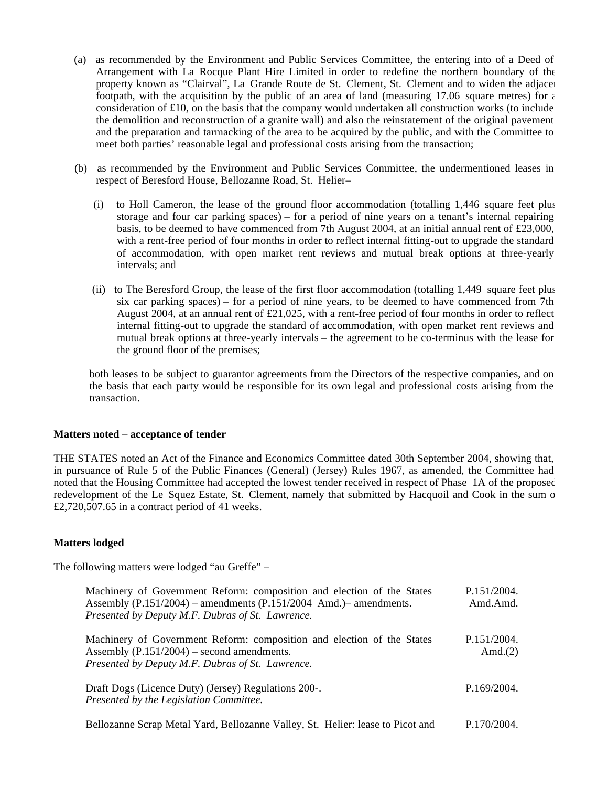- (a) as recommended by the Environment and Public Services Committee, the entering into of a Deed of Arrangement with La Rocque Plant Hire Limited in order to redefine the northern boundary of the property known as "Clairval", La Grande Route de St. Clement, St. Clement and to widen the adjacent footpath, with the acquisition by the public of an area of land (measuring 17.06 square metres) for  $\epsilon$ consideration of  $\pounds 10$ , on the basis that the company would undertaken all construction works (to include the demolition and reconstruction of a granite wall) and also the reinstatement of the original pavement and the preparation and tarmacking of the area to be acquired by the public, and with the Committee to meet both parties' reasonable legal and professional costs arising from the transaction;
- (b) as recommended by the Environment and Public Services Committee, the undermentioned leases in respect of Beresford House, Bellozanne Road, St. Helier –
	- (i) to Holl Cameron, the lease of the ground floor accommodation (totalling 1,446 square feet plus storage and four car parking spaces) – for a period of nine years on a tenant's internal repairing basis, to be deemed to have commenced from 7th August 2004, at an initial annual rent of £23,000, with a rent-free period of four months in order to reflect internal fitting-out to upgrade the standard of accommodation, with open market rent reviews and mutual break options at three-yearly intervals; and
	- (ii) to The Beresford Group, the lease of the first floor accommodation (totalling 1,449 square feet plus six car parking spaces) – for a period of nine years, to be deemed to have commenced from 7th August 2004, at an annual rent of £21,025, with a rent-free period of four months in order to reflect internal fitting-out to upgrade the standard of accommodation, with open market rent reviews and mutual break options at three-yearly intervals – the agreement to be co-terminus with the lease for the ground floor of the premises;

 both leases to be subject to guarantor agreements from the Directors of the respective companies, and on the basis that each party would be responsible for its own legal and professional costs arising from the transaction.

#### **Matters noted – acceptance of tender**

THE STATES noted an Act of the Finance and Economics Committee dated 30th September 2004, showing that, in pursuance of Rule 5 of the Public Finances (General) (Jersey) Rules 1967, as amended, the Committee had noted that the Housing Committee had accepted the lowest tender received in respect of Phase 1A of the proposed redevelopment of the Le Squez Estate, St. Clement, namely that submitted by Hacquoil and Cook in the sum of £2,720,507.65 in a contract period of 41 weeks.

## **Matters lodged**

The following matters were lodged "au Greffe" –

| Machinery of Government Reform: composition and election of the States<br>Assembly $(P.151/2004)$ – amendments $(P.151/2004$ Amd.)– amendments.<br>Presented by Deputy M.F. Dubras of St. Lawrence. | P.151/2004.<br>Amd.Amd.   |
|-----------------------------------------------------------------------------------------------------------------------------------------------------------------------------------------------------|---------------------------|
| Machinery of Government Reform: composition and election of the States<br>Assembly $(P.151/2004)$ – second amendments.<br>Presented by Deputy M.F. Dubras of St. Lawrence.                          | P.151/2004.<br>Amd. $(2)$ |
| Draft Dogs (Licence Duty) (Jersey) Regulations 200-.<br>Presented by the Legislation Committee.                                                                                                     | P.169/2004.               |
| Bellozanne Scrap Metal Yard, Bellozanne Valley, St. Helier: lease to Picot and                                                                                                                      | P.170/2004.               |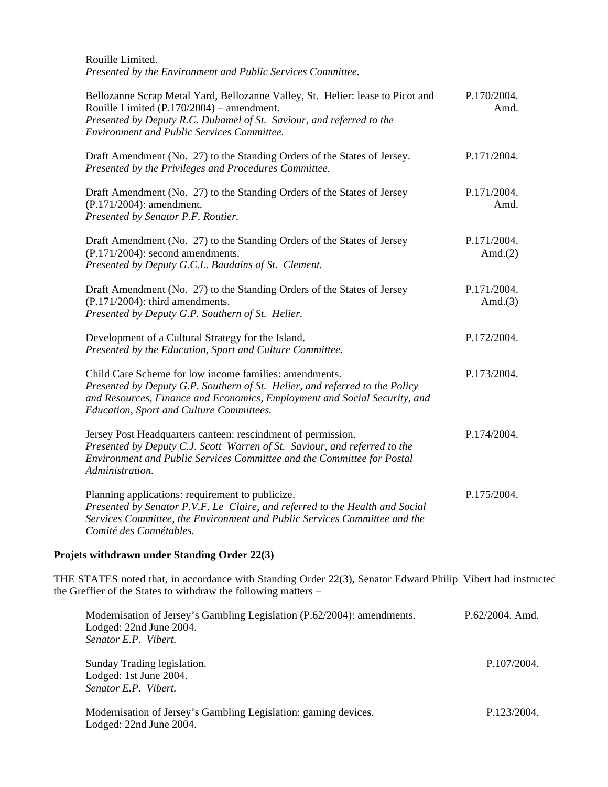Rouille Limited. *Presented by the Environment and Public Services Committee.*

| Bellozanne Scrap Metal Yard, Bellozanne Valley, St. Helier: lease to Picot and<br>Rouille Limited $(P.170/2004)$ – amendment.<br>Presented by Deputy R.C. Duhamel of St. Saviour, and referred to the<br><b>Environment and Public Services Committee.</b>     | P.170/2004.<br>Amd.       |
|----------------------------------------------------------------------------------------------------------------------------------------------------------------------------------------------------------------------------------------------------------------|---------------------------|
| Draft Amendment (No. 27) to the Standing Orders of the States of Jersey.<br>Presented by the Privileges and Procedures Committee.                                                                                                                              | P.171/2004.               |
| Draft Amendment (No. 27) to the Standing Orders of the States of Jersey<br>(P.171/2004): amendment.<br>Presented by Senator P.F. Routier.                                                                                                                      | P.171/2004.<br>Amd.       |
| Draft Amendment (No. 27) to the Standing Orders of the States of Jersey<br>$(P.171/2004)$ : second amendments.<br>Presented by Deputy G.C.L. Baudains of St. Clement.                                                                                          | P.171/2004.<br>Amd. $(2)$ |
| Draft Amendment (No. 27) to the Standing Orders of the States of Jersey<br>$(P.171/2004)$ : third amendments.<br>Presented by Deputy G.P. Southern of St. Helier.                                                                                              | P.171/2004.<br>Amd. $(3)$ |
| Development of a Cultural Strategy for the Island.<br>Presented by the Education, Sport and Culture Committee.                                                                                                                                                 | P.172/2004.               |
| Child Care Scheme for low income families: amendments.<br>Presented by Deputy G.P. Southern of St. Helier, and referred to the Policy<br>and Resources, Finance and Economics, Employment and Social Security, and<br>Education, Sport and Culture Committees. | P.173/2004.               |
| Jersey Post Headquarters canteen: rescindment of permission.<br>Presented by Deputy C.J. Scott Warren of St. Saviour, and referred to the<br>Environment and Public Services Committee and the Committee for Postal<br>Administration.                         | P.174/2004.               |
| Planning applications: requirement to publicize.<br>Presented by Senator P.V.F. Le Claire, and referred to the Health and Social<br>Services Committee, the Environment and Public Services Committee and the<br>Comité des Connétables.                       | P.175/2004.               |

# **Projets withdrawn under Standing Order 22(3)**

THE STATES noted that, in accordance with Standing Order 22(3), Senator Edward Philip Vibert had instructed the Greffier of the States to withdraw the following matters –

| Modernisation of Jersey's Gambling Legislation (P.62/2004): amendments.<br>Lodged: 22nd June 2004. | $P.62/2004.$ Amd. |
|----------------------------------------------------------------------------------------------------|-------------------|
| Senator E.P. Vibert.                                                                               |                   |
| Sunday Trading legislation.<br>Lodged: 1st June 2004.                                              | P.107/2004.       |
| Senator E.P. Vibert.                                                                               |                   |
| Modernisation of Jersey's Gambling Legislation: gaming devices.<br>Lodged: 22nd June 2004.         | P.123/2004.       |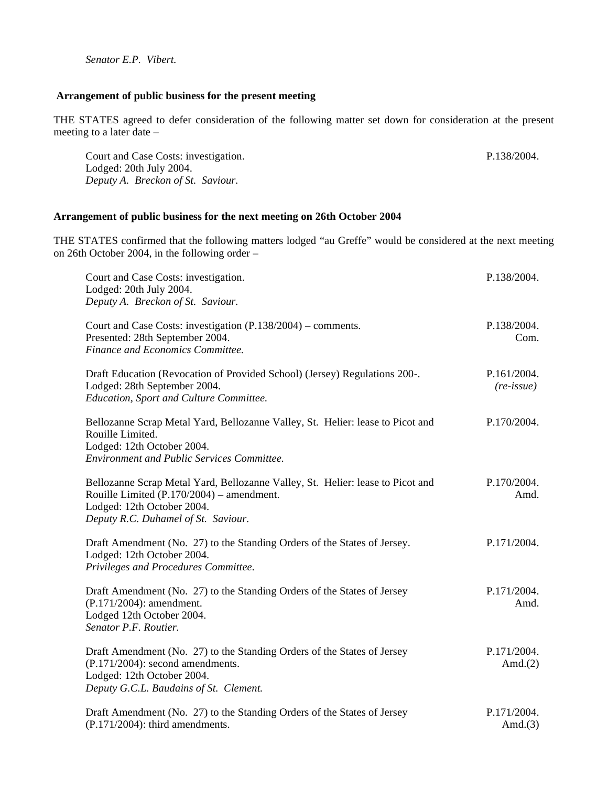*Senator E.P. Vibert.*

## **Arrangement of public business for the present meeting**

THE STATES agreed to defer consideration of the following matter set down for consideration at the present meeting to a later date –

P.138/2004.

Court and Case Costs: investigation. Lodged: 20th July 2004. *Deputy A. Breckon of St. Saviour.*

#### **Arrangement of public business for the next meeting on 26th October 2004**

THE STATES confirmed that the following matters lodged "au Greffe" would be considered at the next meeting on 26th October 2004, in the following order –

| Court and Case Costs: investigation.<br>Lodged: 20th July 2004.<br>Deputy A. Breckon of St. Saviour.                                                                                             | P.138/2004.                        |
|--------------------------------------------------------------------------------------------------------------------------------------------------------------------------------------------------|------------------------------------|
| Court and Case Costs: investigation (P.138/2004) – comments.<br>Presented: 28th September 2004.<br>Finance and Economics Committee.                                                              | P.138/2004.<br>Com.                |
| Draft Education (Revocation of Provided School) (Jersey) Regulations 200-.<br>Lodged: 28th September 2004.<br>Education, Sport and Culture Committee.                                            | P.161/2004.<br>$(re\text{-}issue)$ |
| Bellozanne Scrap Metal Yard, Bellozanne Valley, St. Helier: lease to Picot and<br>Rouille Limited.<br>Lodged: 12th October 2004.<br><b>Environment and Public Services Committee.</b>            | P.170/2004.                        |
| Bellozanne Scrap Metal Yard, Bellozanne Valley, St. Helier: lease to Picot and<br>Rouille Limited (P.170/2004) – amendment.<br>Lodged: 12th October 2004.<br>Deputy R.C. Duhamel of St. Saviour. | P.170/2004.<br>Amd.                |
| Draft Amendment (No. 27) to the Standing Orders of the States of Jersey.<br>Lodged: 12th October 2004.<br>Privileges and Procedures Committee.                                                   | P.171/2004.                        |
| Draft Amendment (No. 27) to the Standing Orders of the States of Jersey<br>(P.171/2004): amendment.<br>Lodged 12th October 2004.<br>Senator P.F. Routier.                                        | P.171/2004.<br>Amd.                |
| Draft Amendment (No. 27) to the Standing Orders of the States of Jersey<br>$(P.171/2004)$ : second amendments.<br>Lodged: 12th October 2004.<br>Deputy G.C.L. Baudains of St. Clement.           | P.171/2004.<br>Amd. $(2)$          |
| Draft Amendment (No. 27) to the Standing Orders of the States of Jersey<br>$(P.171/2004)$ : third amendments.                                                                                    | P.171/2004.<br>Amd. $(3)$          |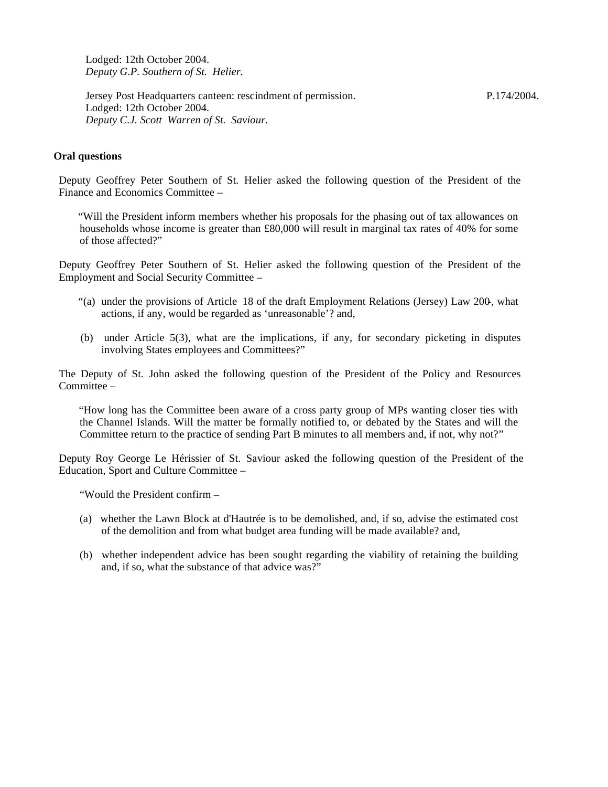Lodged: 12th October 2004. *Deputy G.P. Southern of St. Helier.*

Jersey Post Headquarters canteen: rescindment of permission. Lodged: 12th October 2004. *Deputy C.J. Scott Warren of St. Saviour.*

P.174/2004.

## **Oral questions**

Deputy Geoffrey Peter Southern of St. Helier asked the following question of the President of the Finance and Economics Committee –

 "Will the President inform members whether his proposals for the phasing out of tax allowances on households whose income is greater than £80,000 will result in marginal tax rates of 40% for some of those affected?"

Deputy Geoffrey Peter Southern of St. Helier asked the following question of the President of the Employment and Social Security Committee –

- "(a) under the provisions of Article 18 of the draft Employment Relations (Jersey) Law 200-, what actions, if any, would be regarded as 'unreasonable'? and,
- (b) under Article 5(3), what are the implications, if any, for secondary picketing in disputes involving States employees and Committees?"

The Deputy of St. John asked the following question of the President of the Policy and Resources Committee –

"How long has the Committee been aware of a cross party group of MPs wanting closer ties with the Channel Islands. Will the matter be formally notified to, or debated by the States and will the Committee return to the practice of sending Part B minutes to all members and, if not, why not?"

Deputy Roy George Le Hérissier of St. Saviour asked the following question of the President of the Education, Sport and Culture Committee –

"Would the President confirm –

- (a) whether the Lawn Block at d'Hautrée is to be demolished, and, if so, advise the estimated cost of the demolition and from what budget area funding will be made available? and,
- (b) whether independent advice has been sought regarding the viability of retaining the building and, if so, what the substance of that advice was?"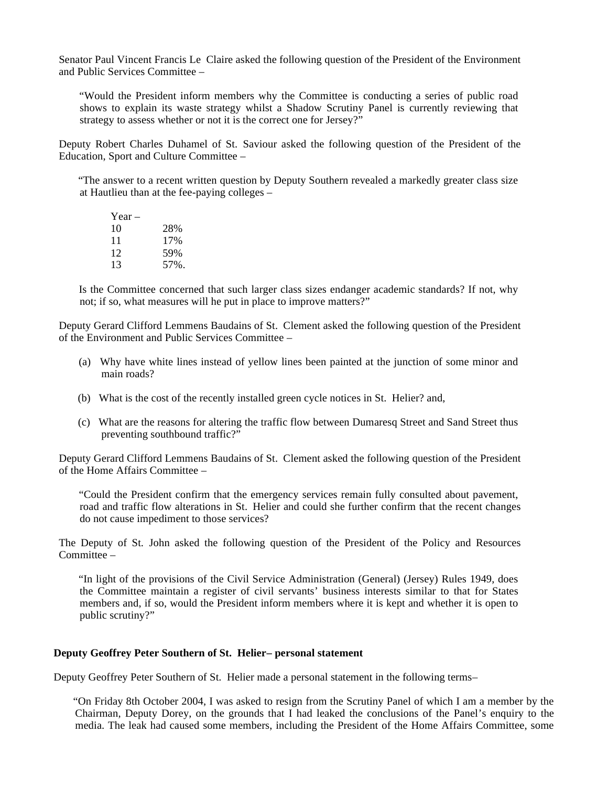Senator Paul Vincent Francis Le Claire asked the following question of the President of the Environment and Public Services Committee –

 "Would the President inform members why the Committee is conducting a series of public road shows to explain its waste strategy whilst a Shadow Scrutiny Panel is currently reviewing that strategy to assess whether or not it is the correct one for Jersey?"

Deputy Robert Charles Duhamel of St. Saviour asked the following question of the President of the Education, Sport and Culture Committee –

 "The answer to a recent written question by Deputy Southern revealed a markedly greater class size at Hautlieu than at the fee-paying colleges –

| $Year -$ |      |
|----------|------|
| 10       | 28%  |
| 11       | 17%  |
| 12       | 59%  |
| 13       | 57%. |

 Is the Committee concerned that such larger class sizes endanger academic standards? If not, why not; if so, what measures will he put in place to improve matters?"

Deputy Gerard Clifford Lemmens Baudains of St. Clement asked the following question of the President of the Environment and Public Services Committee –

- (a) Why have white lines instead of yellow lines been painted at the junction of some minor and main roads?
- (b) What is the cost of the recently installed green cycle notices in St. Helier? and,
- (c) What are the reasons for altering the traffic flow between Dumaresq Street and Sand Street thus preventing southbound traffic?"

Deputy Gerard Clifford Lemmens Baudains of St. Clement asked the following question of the President of the Home Affairs Committee –

 "Could the President confirm that the emergency services remain fully consulted about pavement, road and traffic flow alterations in St. Helier and could she further confirm that the recent changes do not cause impediment to those services?

The Deputy of St. John asked the following question of the President of the Policy and Resources Committee –

 "In light of the provisions of the Civil Service Administration (General) (Jersey) Rules 1949, does the Committee maintain a register of civil servants' business interests similar to that for States members and, if so, would the President inform members where it is kept and whether it is open to public scrutiny?"

#### **Deputy Geoffrey Peter Southern of St. Helier-- personal statement**

Deputy Geoffrey Peter Southern of St. Helier made a personal statement in the following terms –

 "On Friday 8th October 2004, I was asked to resign from the Scrutiny Panel of which I am a member by the Chairman, Deputy Dorey, on the grounds that I had leaked the conclusions of the Panel's enquiry to the media. The leak had caused some members, including the President of the Home Affairs Committee, some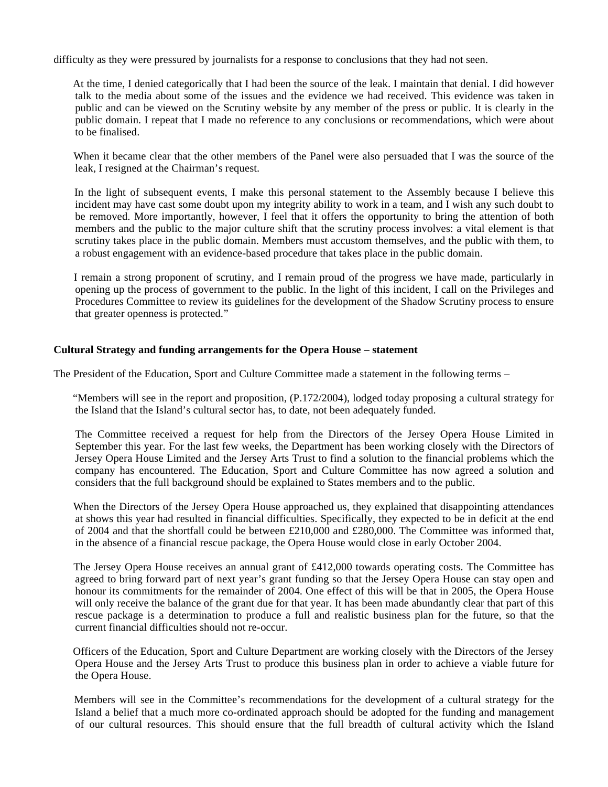difficulty as they were pressured by journalists for a response to conclusions that they had not seen.

 At the time, I denied categorically that I had been the source of the leak. I maintain that denial. I did however talk to the media about some of the issues and the evidence we had received. This evidence was taken in public and can be viewed on the Scrutiny website by any member of the press or public. It is clearly in the public domain. I repeat that I made no reference to any conclusions or recommendations, which were about to be finalised.

 When it became clear that the other members of the Panel were also persuaded that I was the source of the leak, I resigned at the Chairman's request.

 In the light of subsequent events, I make this personal statement to the Assembly because I believe this incident may have cast some doubt upon my integrity ability to work in a team, and I wish any such doubt to be removed. More importantly, however, I feel that it offers the opportunity to bring the attention of both members and the public to the major culture shift that the scrutiny process involves: a vital element is that scrutiny takes place in the public domain. Members must accustom themselves, and the public with them, to a robust engagement with an evidence-based procedure that takes place in the public domain.

 I remain a strong proponent of scrutiny, and I remain proud of the progress we have made, particularly in opening up the process of government to the public. In the light of this incident, I call on the Privileges and Procedures Committee to review its guidelines for the development of the Shadow Scrutiny process to ensure that greater openness is protected."

## **Cultural Strategy and funding arrangements for the Opera House – statement**

The President of the Education, Sport and Culture Committee made a statement in the following terms –

 "Members will see in the report and proposition, (P.172/2004), lodged today proposing a cultural strategy for the Island that the Island's cultural sector has, to date, not been adequately funded.

 The Committee received a request for help from the Directors of the Jersey Opera House Limited in September this year. For the last few weeks, the Department has been working closely with the Directors of Jersey Opera House Limited and the Jersey Arts Trust to find a solution to the financial problems which the company has encountered. The Education, Sport and Culture Committee has now agreed a solution and considers that the full background should be explained to States members and to the public.

 When the Directors of the Jersey Opera House approached us, they explained that disappointing attendances at shows this year had resulted in financial difficulties. Specifically, they expected to be in deficit at the end of 2004 and that the shortfall could be between £210,000 and £280,000. The Committee was informed that, in the absence of a financial rescue package, the Opera House would close in early October 2004.

 The Jersey Opera House receives an annual grant of £412,000 towards operating costs. The Committee has agreed to bring forward part of next year's grant funding so that the Jersey Opera House can stay open and honour its commitments for the remainder of 2004. One effect of this will be that in 2005, the Opera House will only receive the balance of the grant due for that year. It has been made abundantly clear that part of this rescue package is a determination to produce a full and realistic business plan for the future, so that the current financial difficulties should not re-occur.

 Officers of the Education, Sport and Culture Department are working closely with the Directors of the Jersey Opera House and the Jersey Arts Trust to produce this business plan in order to achieve a viable future for the Opera House.

 Members will see in the Committee's recommendations for the development of a cultural strategy for the Island a belief that a much more co-ordinated approach should be adopted for the funding and management of our cultural resources. This should ensure that the full breadth of cultural activity which the Island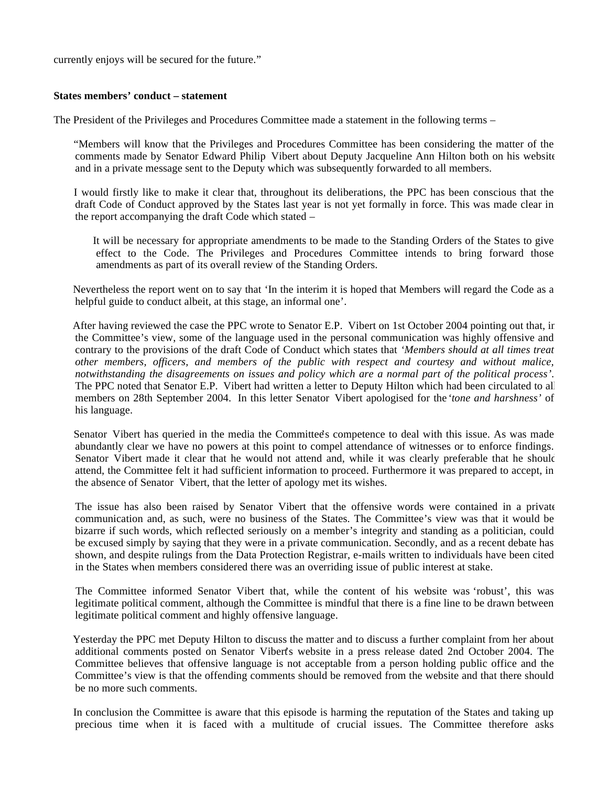currently enjoys will be secured for the future."

## **States members' conduct – statement**

The President of the Privileges and Procedures Committee made a statement in the following terms –

 "Members will know that the Privileges and Procedures Committee has been considering the matter of the comments made by Senator Edward Philip Vibert about Deputy Jacqueline Ann Hilton both on his website and in a private message sent to the Deputy which was subsequently forwarded to all members.

 I would firstly like to make it clear that, throughout its deliberations, the PPC has been conscious that the draft Code of Conduct approved by the States last year is not yet formally in force. This was made clear in the report accompanying the draft Code which stated –

 It will be necessary for appropriate amendments to be made to the Standing Orders of the States to give effect to the Code. The Privileges and Procedures Committee intends to bring forward those amendments as part of its overall review of the Standing Orders.

 Nevertheless the report went on to say that 'In the interim it is hoped that Members will regard the Code as a helpful guide to conduct albeit, at this stage, an informal one'.

 After having reviewed the case the PPC wrote to Senator E.P. Vibert on 1st October 2004 pointing out that, in the Committee's view, some of the language used in the personal communication was highly offensive and contrary to the provisions of the draft Code of Conduct which states that *'Members should at all times treat other members, officers, and members of the public with respect and courtesy and without malice, notwithstanding the disagreements on issues and policy which are a normal part of the political process'*. The PPC noted that Senator E.P. Vibert had written a letter to Deputy Hilton which had been circulated to all members on 28th September 2004. In this letter Senator Vibert apologised for the*'tone and harshness'* of his language.

 Senator Vibert has queried in the media the Committee's competence to deal with this issue. As was made abundantly clear we have no powers at this point to compel attendance of witnesses or to enforce findings. Senator Vibert made it clear that he would not attend and, while it was clearly preferable that he should attend, the Committee felt it had sufficient information to proceed. Furthermore it was prepared to accept, in the absence of Senator Vibert, that the letter of apology met its wishes.

 The issue has also been raised by Senator Vibert that the offensive words were contained in a private communication and, as such, were no business of the States. The Committee's view was that it would be bizarre if such words, which reflected seriously on a member's integrity and standing as a politician, could be excused simply by saying that they were in a private communication. Secondly, and as a recent debate has shown, and despite rulings from the Data Protection Registrar, e-mails written to individuals have been cited in the States when members considered there was an overriding issue of public interest at stake.

 The Committee informed Senator Vibert that, while the content of his website was 'robust', this was legitimate political comment, although the Committee is mindful that there is a fine line to be drawn between legitimate political comment and highly offensive language.

 Yesterday the PPC met Deputy Hilton to discuss the matter and to discuss a further complaint from her about additional comments posted on Senator Vibert's website in a press release dated 2nd October 2004. The Committee believes that offensive language is not acceptable from a person holding public office and the Committee's view is that the offending comments should be removed from the website and that there should be no more such comments.

 In conclusion the Committee is aware that this episode is harming the reputation of the States and taking up precious time when it is faced with a multitude of crucial issues. The Committee therefore asks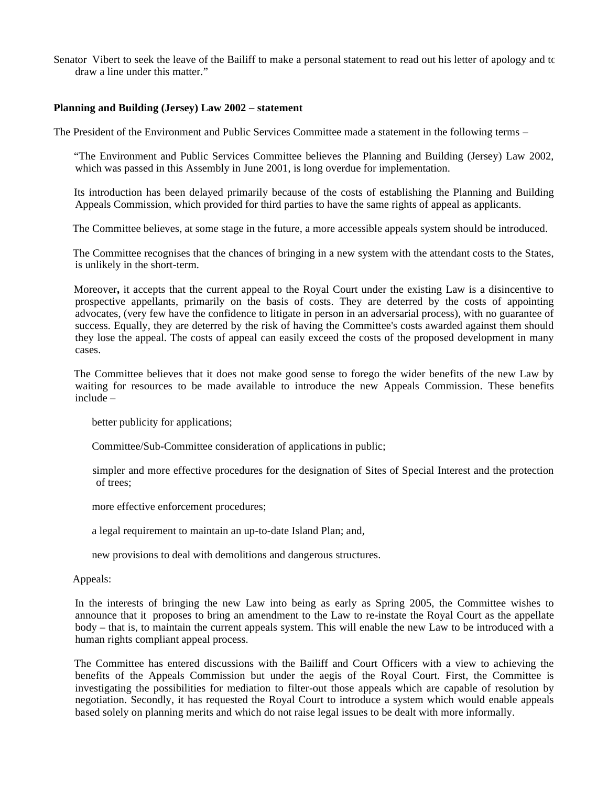Senator Vibert to seek the leave of the Bailiff to make a personal statement to read out his letter of apology and to draw a line under this matter."

#### **Planning and Building (Jersey) Law 2002 – statement**

The President of the Environment and Public Services Committee made a statement in the following terms –

 "The Environment and Public Services Committee believes the Planning and Building (Jersey) Law 2002, which was passed in this Assembly in June 2001, is long overdue for implementation.

 Its introduction has been delayed primarily because of the costs of establishing the Planning and Building Appeals Commission, which provided for third parties to have the same rights of appeal as applicants.

The Committee believes, at some stage in the future, a more accessible appeals system should be introduced.

 The Committee recognises that the chances of bringing in a new system with the attendant costs to the States, is unlikely in the short-term.

Moreover**,** it accepts that the current appeal to the Royal Court under the existing Law is a disincentive to prospective appellants, primarily on the basis of costs. They are deterred by the costs of appointing advocates, (very few have the confidence to litigate in person in an adversarial process), with no guarantee of success. Equally, they are deterred by the risk of having the Committee's costs awarded against them should they lose the appeal. The costs of appeal can easily exceed the costs of the proposed development in many cases.

 The Committee believes that it does not make good sense to forego the wider benefits of the new Law by waiting for resources to be made available to introduce the new Appeals Commission. These benefits include –

better publicity for applications;

Committee/Sub-Committee consideration of applications in public;

 simpler and more effective procedures for the designation of Sites of Special Interest and the protection of trees;

more effective enforcement procedures;

a legal requirement to maintain an up-to-date Island Plan; and,

new provisions to deal with demolitions and dangerous structures.

Appeals:

 In the interests of bringing the new Law into being as early as Spring 2005, the Committee wishes to announce that it proposes to bring an amendment to the Law to re-instate the Royal Court as the appellate body – that is, to maintain the current appeals system. This will enable the new Law to be introduced with a human rights compliant appeal process.

 The Committee has entered discussions with the Bailiff and Court Officers with a view to achieving the benefits of the Appeals Commission but under the aegis of the Royal Court. First, the Committee is investigating the possibilities for mediation to filter-out those appeals which are capable of resolution by negotiation. Secondly, it has requested the Royal Court to introduce a system which would enable appeals based solely on planning merits and which do not raise legal issues to be dealt with more informally.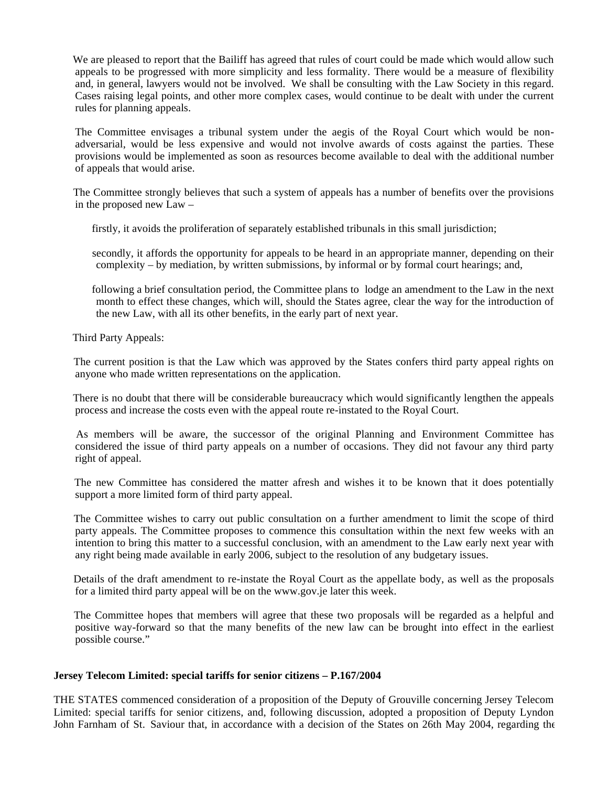We are pleased to report that the Bailiff has agreed that rules of court could be made which would allow such appeals to be progressed with more simplicity and less formality. There would be a measure of flexibility and, in general, lawyers would not be involved. We shall be consulting with the Law Society in this regard. Cases raising legal points, and other more complex cases, would continue to be dealt with under the current rules for planning appeals.

 The Committee envisages a tribunal system under the aegis of the Royal Court which would be nonadversarial, would be less expensive and would not involve awards of costs against the parties. These provisions would be implemented as soon as resources become available to deal with the additional number of appeals that would arise.

 The Committee strongly believes that such a system of appeals has a number of benefits over the provisions in the proposed new Law –

firstly, it avoids the proliferation of separately established tribunals in this small jurisdiction;

 secondly, it affords the opportunity for appeals to be heard in an appropriate manner, depending on their complexity – by mediation, by written submissions, by informal or by formal court hearings; and,

 following a brief consultation period, the Committee plans to lodge an amendment to the Law in the next month to effect these changes, which will, should the States agree, clear the way for the introduction of the new Law, with all its other benefits, in the early part of next year.

Third Party Appeals:

 The current position is that the Law which was approved by the States confers third party appeal rights on anyone who made written representations on the application.

 There is no doubt that there will be considerable bureaucracy which would significantly lengthen the appeals process and increase the costs even with the appeal route re-instated to the Royal Court.

 As members will be aware, the successor of the original Planning and Environment Committee has considered the issue of third party appeals on a number of occasions. They did not favour any third party right of appeal.

 The new Committee has considered the matter afresh and wishes it to be known that it does potentially support a more limited form of third party appeal.

 The Committee wishes to carry out public consultation on a further amendment to limit the scope of third party appeals. The Committee proposes to commence this consultation within the next few weeks with an intention to bring this matter to a successful conclusion, with an amendment to the Law early next year with any right being made available in early 2006, subject to the resolution of any budgetary issues.

 Details of the draft amendment to re-instate the Royal Court as the appellate body, as well as the proposals for a limited third party appeal will be on the<www.gov.je>later this week.

 The Committee hopes that members will agree that these two proposals will be regarded as a helpful and positive way-forward so that the many benefits of the new law can be brought into effect in the earliest possible course."

## **Jersey Telecom Limited: special tariffs for senior citizens – P.167/2004**

THE STATES commenced consideration of a proposition of the Deputy of Grouville concerning Jersey Telecom Limited: special tariffs for senior citizens, and, following discussion, adopted a proposition of Deputy Lyndon John Farnham of St. Saviour that, in accordance with a decision of the States on 26th May 2004, regarding the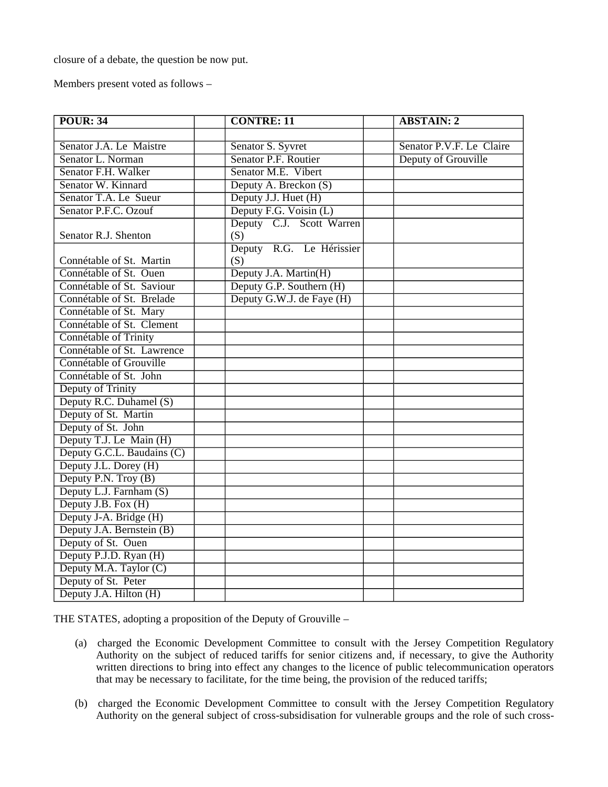closure of a debate, the question be now put.

Members present voted as follows –

| <b>POUR: 34</b>            | <b>CONTRE: 11</b>         | <b>ABSTAIN: 2</b>        |
|----------------------------|---------------------------|--------------------------|
|                            |                           |                          |
| Senator J.A. Le Maistre    | Senator S. Syvret         | Senator P.V.F. Le Claire |
| Senator L. Norman          | Senator P.F. Routier      | Deputy of Grouville      |
| Senator F.H. Walker        | Senator M.E. Vibert       |                          |
| Senator W. Kinnard         | Deputy A. Breckon (S)     |                          |
| Senator T.A. Le Sueur      | Deputy J.J. Huet (H)      |                          |
| Senator P.F.C. Ozouf       | Deputy F.G. Voisin (L)    |                          |
|                            | Deputy C.J. Scott Warren  |                          |
| Senator R.J. Shenton       | (S)                       |                          |
|                            | Deputy R.G. Le Hérissier  |                          |
| Connétable of St. Martin   | (S)                       |                          |
| Connétable of St. Ouen     | Deputy J.A. Martin(H)     |                          |
| Connétable of St. Saviour  | Deputy G.P. Southern (H)  |                          |
| Connétable of St. Brelade  | Deputy G.W.J. de Faye (H) |                          |
| Connétable of St. Mary     |                           |                          |
| Connétable of St. Clement  |                           |                          |
| Connétable of Trinity      |                           |                          |
| Connétable of St. Lawrence |                           |                          |
| Connétable of Grouville    |                           |                          |
| Connétable of St. John     |                           |                          |
| Deputy of Trinity          |                           |                          |
| Deputy R.C. Duhamel (S)    |                           |                          |
| Deputy of St. Martin       |                           |                          |
| Deputy of St. John         |                           |                          |
| Deputy T.J. Le Main (H)    |                           |                          |
| Deputy G.C.L. Baudains (C) |                           |                          |
| Deputy J.L. Dorey (H)      |                           |                          |
| Deputy P.N. Troy (B)       |                           |                          |
| Deputy L.J. Farnham (S)    |                           |                          |
| Deputy J.B. Fox (H)        |                           |                          |
| Deputy J-A. Bridge (H)     |                           |                          |
| Deputy J.A. Bernstein (B)  |                           |                          |
| Deputy of St. Ouen         |                           |                          |
| Deputy P.J.D. Ryan (H)     |                           |                          |
| Deputy M.A. Taylor (C)     |                           |                          |
| Deputy of St. Peter        |                           |                          |
| Deputy J.A. Hilton (H)     |                           |                          |

THE STATES, adopting a proposition of the Deputy of Grouville –

- (a) charged the Economic Development Committee to consult with the Jersey Competition Regulatory Authority on the subject of reduced tariffs for senior citizens and, if necessary, to give the Authority written directions to bring into effect any changes to the licence of public telecommunication operators that may be necessary to facilitate, for the time being, the provision of the reduced tariffs;
- (b) charged the Economic Development Committee to consult with the Jersey Competition Regulatory Authority on the general subject of cross-subsidisation for vulnerable groups and the role of such cross-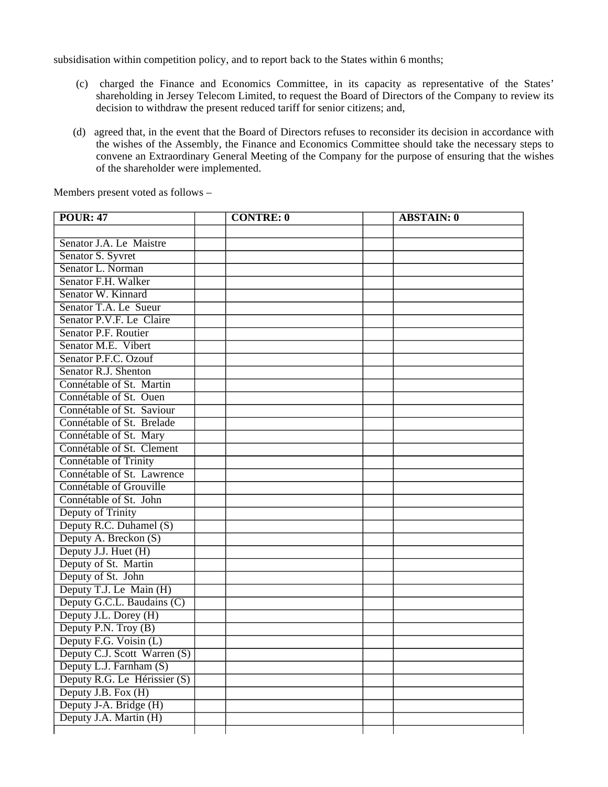subsidisation within competition policy, and to report back to the States within 6 months;

- (c) charged the Finance and Economics Committee, in its capacity as representative of the States' shareholding in Jersey Telecom Limited, to request the Board of Directors of the Company to review its decision to withdraw the present reduced tariff for senior citizens; and,
- (d) agreed that, in the event that the Board of Directors refuses to reconsider its decision in accordance with the wishes of the Assembly, the Finance and Economics Committee should take the necessary steps to convene an Extraordinary General Meeting of the Company for the purpose of ensuring that the wishes of the shareholder were implemented.

| <b>POUR: 47</b>              | <b>CONTRE: 0</b> | <b>ABSTAIN: 0</b> |
|------------------------------|------------------|-------------------|
|                              |                  |                   |
| Senator J.A. Le Maistre      |                  |                   |
| Senator S. Syvret            |                  |                   |
| Senator L. Norman            |                  |                   |
| Senator F.H. Walker          |                  |                   |
| Senator W. Kinnard           |                  |                   |
| Senator T.A. Le Sueur        |                  |                   |
| Senator P.V.F. Le Claire     |                  |                   |
| Senator P.F. Routier         |                  |                   |
| Senator M.E. Vibert          |                  |                   |
| Senator P.F.C. Ozouf         |                  |                   |
| Senator R.J. Shenton         |                  |                   |
| Connétable of St. Martin     |                  |                   |
| Connétable of St. Ouen       |                  |                   |
| Connétable of St. Saviour    |                  |                   |
| Connétable of St. Brelade    |                  |                   |
| Connétable of St. Mary       |                  |                   |
| Connétable of St. Clement    |                  |                   |
| Connétable of Trinity        |                  |                   |
| Connétable of St. Lawrence   |                  |                   |
| Connétable of Grouville      |                  |                   |
| Connétable of St. John       |                  |                   |
| Deputy of Trinity            |                  |                   |
| Deputy R.C. Duhamel (S)      |                  |                   |
| Deputy A. Breckon (S)        |                  |                   |
| Deputy J.J. Huet (H)         |                  |                   |
| Deputy of St. Martin         |                  |                   |
| Deputy of St. John           |                  |                   |
| Deputy T.J. Le Main (H)      |                  |                   |
| Deputy G.C.L. Baudains (C)   |                  |                   |
| Deputy J.L. Dorey (H)        |                  |                   |
| Deputy P.N. Troy (B)         |                  |                   |
| Deputy F.G. Voisin (L)       |                  |                   |
| Deputy C.J. Scott Warren (S) |                  |                   |
| Deputy L.J. Farnham (S)      |                  |                   |
| Deputy R.G. Le Hérissier (S) |                  |                   |
| Deputy J.B. Fox (H)          |                  |                   |
| Deputy J-A. Bridge (H)       |                  |                   |
| Deputy J.A. Martin (H)       |                  |                   |
|                              |                  |                   |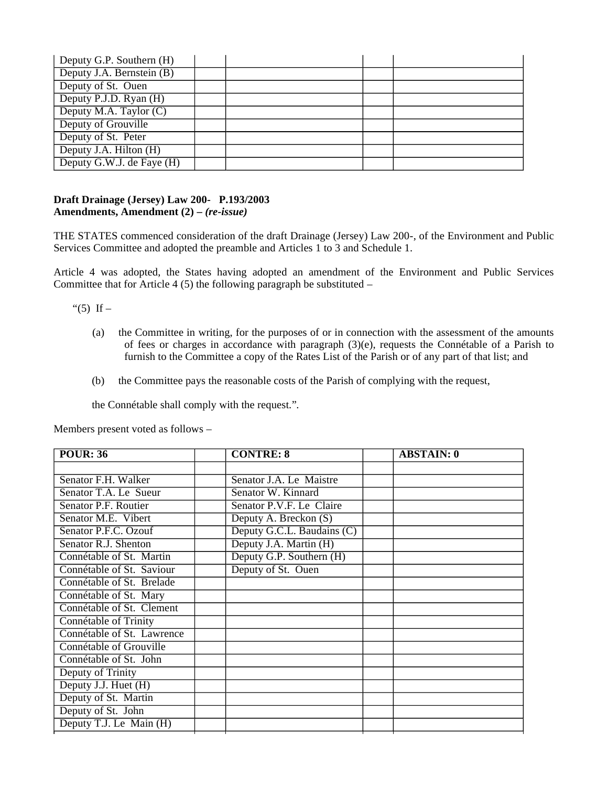| Deputy G.P. Southern (H)  |  |  |
|---------------------------|--|--|
| Deputy J.A. Bernstein (B) |  |  |
| Deputy of St. Ouen        |  |  |
| Deputy P.J.D. Ryan (H)    |  |  |
| Deputy M.A. Taylor (C)    |  |  |
| Deputy of Grouville       |  |  |
| Deputy of St. Peter       |  |  |
| Deputy J.A. Hilton (H)    |  |  |
| Deputy G.W.J. de Faye (H) |  |  |

## **Draft Drainage (Jersey) Law 200- P.193/2003 Amendments, Amendment (2) –** *(re-issue)*

THE STATES commenced consideration of the draft Drainage (Jersey) Law 200-, of the Environment and Public Services Committee and adopted the preamble and Articles 1 to 3 and Schedule 1.

Article 4 was adopted, the States having adopted an amendment of the Environment and Public Services Committee that for Article 4  $(5)$  the following paragraph be substituted –

"(5) If  $-$ 

- (a) the Committee in writing, for the purposes of or in connection with the assessment of the amounts of fees or charges in accordance with paragraph (3)(e), requests the Connétable of a Parish to furnish to the Committee a copy of the Rates List of the Parish or of any part of that list; and
- (b) the Committee pays the reasonable costs of the Parish of complying with the request,

the Connétable shall comply with the request."*.*

| <b>POUR: 36</b>            | <b>CONTRE: 8</b>           | <b>ABSTAIN: 0</b> |
|----------------------------|----------------------------|-------------------|
|                            |                            |                   |
| Senator F.H. Walker        | Senator J.A. Le Maistre    |                   |
| Senator T.A. Le Sueur      | Senator W. Kinnard         |                   |
| Senator P.F. Routier       | Senator P.V.F. Le Claire   |                   |
| Senator M.E. Vibert        | Deputy A. Breckon (S)      |                   |
| Senator P.F.C. Ozouf       | Deputy G.C.L. Baudains (C) |                   |
| Senator R.J. Shenton       | Deputy J.A. Martin (H)     |                   |
| Connétable of St. Martin   | Deputy G.P. Southern (H)   |                   |
| Connétable of St. Saviour  | Deputy of St. Ouen         |                   |
| Connétable of St. Brelade  |                            |                   |
| Connétable of St. Mary     |                            |                   |
| Connétable of St. Clement  |                            |                   |
| Connétable of Trinity      |                            |                   |
| Connétable of St. Lawrence |                            |                   |
| Connétable of Grouville    |                            |                   |
| Connétable of St. John     |                            |                   |
| Deputy of Trinity          |                            |                   |
| Deputy J.J. Huet (H)       |                            |                   |
| Deputy of St. Martin       |                            |                   |
| Deputy of St. John         |                            |                   |
| Deputy T.J. Le Main (H)    |                            |                   |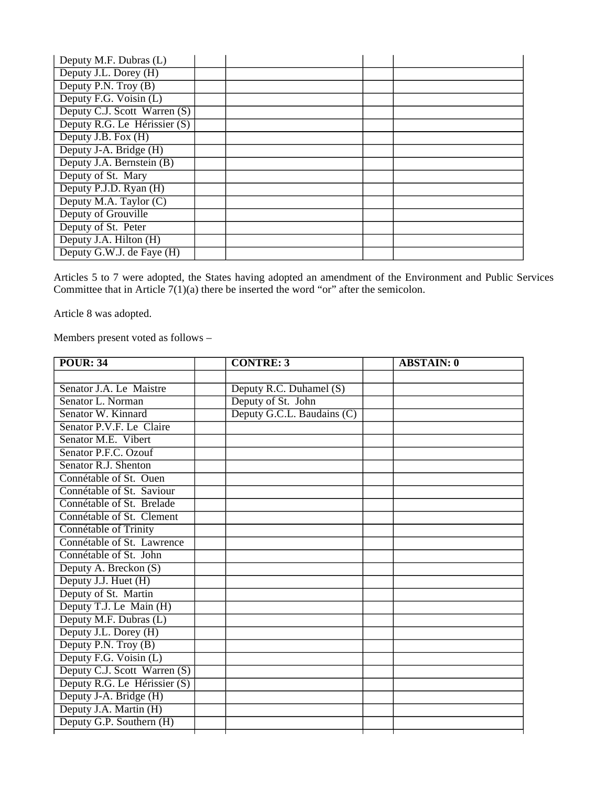| Deputy M.F. Dubras (L)       |  |  |
|------------------------------|--|--|
| Deputy J.L. Dorey (H)        |  |  |
| Deputy P.N. Troy (B)         |  |  |
| Deputy F.G. Voisin (L)       |  |  |
| Deputy C.J. Scott Warren (S) |  |  |
| Deputy R.G. Le Hérissier (S) |  |  |
| Deputy J.B. Fox (H)          |  |  |
| Deputy J-A. Bridge (H)       |  |  |
| Deputy J.A. Bernstein (B)    |  |  |
| Deputy of St. Mary           |  |  |
| Deputy P.J.D. Ryan (H)       |  |  |
| Deputy M.A. Taylor (C)       |  |  |
| Deputy of Grouville          |  |  |
| Deputy of St. Peter          |  |  |
| Deputy J.A. Hilton (H)       |  |  |
| Deputy G.W.J. de Faye (H)    |  |  |

Articles 5 to 7 were adopted, the States having adopted an amendment of the Environment and Public Services Committee that in Article  $7(1)(a)$  there be inserted the word "or" after the semicolon.

Article 8 was adopted.

| <b>POUR: 34</b>              | <b>CONTRE: 3</b>           | <b>ABSTAIN: 0</b> |
|------------------------------|----------------------------|-------------------|
|                              |                            |                   |
| Senator J.A. Le Maistre      | Deputy R.C. Duhamel (S)    |                   |
| Senator L. Norman            | Deputy of St. John         |                   |
| Senator W. Kinnard           | Deputy G.C.L. Baudains (C) |                   |
| Senator P.V.F. Le Claire     |                            |                   |
| Senator M.E. Vibert          |                            |                   |
| Senator P.F.C. Ozouf         |                            |                   |
| Senator R.J. Shenton         |                            |                   |
| Connétable of St. Ouen       |                            |                   |
| Connétable of St. Saviour    |                            |                   |
| Connétable of St. Brelade    |                            |                   |
| Connétable of St. Clement    |                            |                   |
| Connétable of Trinity        |                            |                   |
| Connétable of St. Lawrence   |                            |                   |
| Connétable of St. John       |                            |                   |
| Deputy A. Breckon (S)        |                            |                   |
| Deputy J.J. Huet (H)         |                            |                   |
| Deputy of St. Martin         |                            |                   |
| Deputy T.J. Le Main (H)      |                            |                   |
| Deputy M.F. Dubras (L)       |                            |                   |
| Deputy J.L. Dorey (H)        |                            |                   |
| Deputy P.N. Troy (B)         |                            |                   |
| Deputy F.G. Voisin (L)       |                            |                   |
| Deputy C.J. Scott Warren (S) |                            |                   |
| Deputy R.G. Le Hérissier (S) |                            |                   |
| Deputy J-A. Bridge (H)       |                            |                   |
| Deputy J.A. Martin (H)       |                            |                   |
| Deputy G.P. Southern (H)     |                            |                   |
|                              |                            |                   |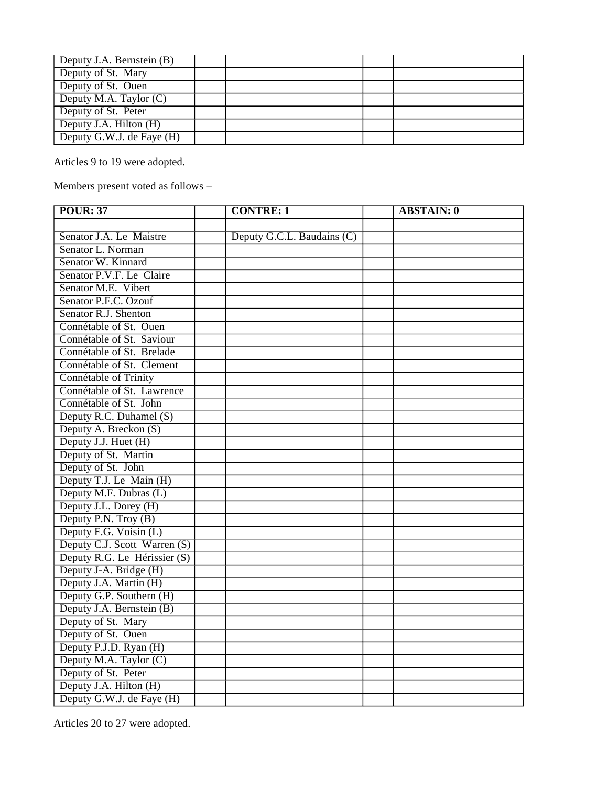| Deputy J.A. Bernstein (B)              |  |  |
|----------------------------------------|--|--|
| Deputy of St. Mary                     |  |  |
| Deputy of St. Ouen                     |  |  |
| Deputy $\overline{M.A}$ . Taylor $(C)$ |  |  |
| Deputy of St. Peter                    |  |  |
| Deputy J.A. Hilton $(H)$               |  |  |
| Deputy G.W.J. de Faye (H)              |  |  |

Articles 9 to 19 were adopted.

Members present voted as follows –

| <b>POUR: 37</b>              | <b>CONTRE: 1</b>           | <b>ABSTAIN: 0</b> |
|------------------------------|----------------------------|-------------------|
|                              |                            |                   |
| Senator J.A. Le Maistre      | Deputy G.C.L. Baudains (C) |                   |
| Senator L. Norman            |                            |                   |
| Senator W. Kinnard           |                            |                   |
| Senator P.V.F. Le Claire     |                            |                   |
| Senator M.E. Vibert          |                            |                   |
| Senator P.F.C. Ozouf         |                            |                   |
| Senator R.J. Shenton         |                            |                   |
| Connétable of St. Ouen       |                            |                   |
| Connétable of St. Saviour    |                            |                   |
| Connétable of St. Brelade    |                            |                   |
| Connétable of St. Clement    |                            |                   |
| Connétable of Trinity        |                            |                   |
| Connétable of St. Lawrence   |                            |                   |
| Connétable of St. John       |                            |                   |
| Deputy R.C. Duhamel (S)      |                            |                   |
| Deputy A. Breckon (S)        |                            |                   |
| Deputy J.J. Huet (H)         |                            |                   |
| Deputy of St. Martin         |                            |                   |
| Deputy of St. John           |                            |                   |
| Deputy T.J. Le Main (H)      |                            |                   |
| Deputy M.F. Dubras (L)       |                            |                   |
| Deputy J.L. Dorey (H)        |                            |                   |
| Deputy P.N. Troy (B)         |                            |                   |
| Deputy F.G. Voisin (L)       |                            |                   |
| Deputy C.J. Scott Warren (S) |                            |                   |
| Deputy R.G. Le Hérissier (S) |                            |                   |
| Deputy J-A. Bridge (H)       |                            |                   |
| Deputy J.A. Martin (H)       |                            |                   |
| Deputy G.P. Southern (H)     |                            |                   |
| Deputy J.A. Bernstein (B)    |                            |                   |
| Deputy of St. Mary           |                            |                   |
| Deputy of St. Ouen           |                            |                   |
| Deputy P.J.D. Ryan (H)       |                            |                   |
| Deputy M.A. Taylor (C)       |                            |                   |
| Deputy of St. Peter          |                            |                   |
| Deputy J.A. Hilton (H)       |                            |                   |
| Deputy G.W.J. de Faye (H)    |                            |                   |

Articles 20 to 27 were adopted.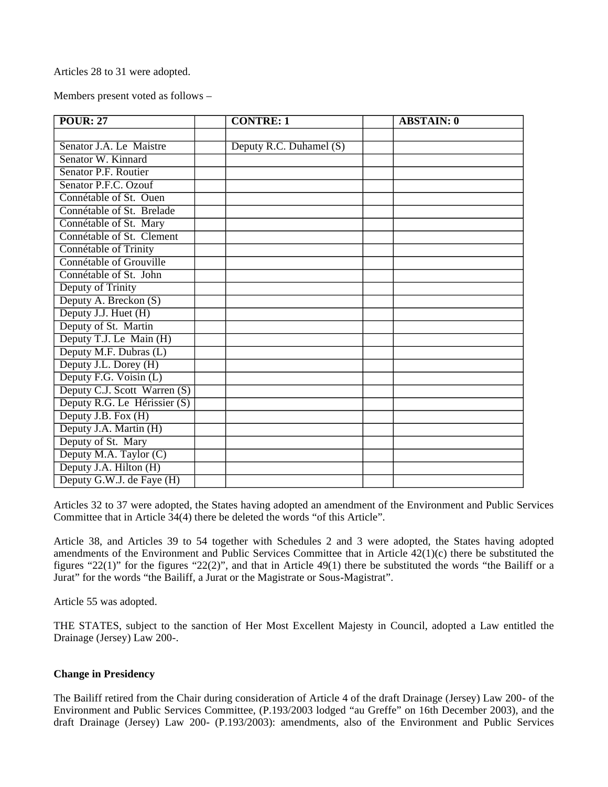Articles 28 to 31 were adopted.

Members present voted as follows –

| <b>POUR: 27</b>              | <b>CONTRE: 1</b>        | <b>ABSTAIN: 0</b> |
|------------------------------|-------------------------|-------------------|
|                              |                         |                   |
| Senator J.A. Le Maistre      | Deputy R.C. Duhamel (S) |                   |
| Senator W. Kinnard           |                         |                   |
| Senator P.F. Routier         |                         |                   |
| Senator P.F.C. Ozouf         |                         |                   |
| Connétable of St. Ouen       |                         |                   |
| Connétable of St. Brelade    |                         |                   |
| Connétable of St. Mary       |                         |                   |
| Connétable of St. Clement    |                         |                   |
| Connétable of Trinity        |                         |                   |
| Connétable of Grouville      |                         |                   |
| Connétable of St. John       |                         |                   |
| Deputy of Trinity            |                         |                   |
| Deputy A. Breckon (S)        |                         |                   |
| Deputy J.J. Huet (H)         |                         |                   |
| Deputy of St. Martin         |                         |                   |
| Deputy T.J. Le Main (H)      |                         |                   |
| Deputy M.F. Dubras (L)       |                         |                   |
| Deputy J.L. Dorey (H)        |                         |                   |
| Deputy F.G. Voisin (L)       |                         |                   |
| Deputy C.J. Scott Warren (S) |                         |                   |
| Deputy R.G. Le Hérissier (S) |                         |                   |
| Deputy J.B. Fox (H)          |                         |                   |
| Deputy J.A. Martin (H)       |                         |                   |
| Deputy of St. Mary           |                         |                   |
| Deputy M.A. Taylor (C)       |                         |                   |
| Deputy J.A. Hilton (H)       |                         |                   |
| Deputy G.W.J. de Faye (H)    |                         |                   |

Articles 32 to 37 were adopted, the States having adopted an amendment of the Environment and Public Services Committee that in Article 34(4) there be deleted the words "of this Article".

Article 38, and Articles 39 to 54 together with Schedules 2 and 3 were adopted, the States having adopted amendments of the Environment and Public Services Committee that in Article 42(1)(c) there be substituted the figures "22(1)" for the figures "22(2)", and that in Article 49(1) there be substituted the words "the Bailiff or a Jurat" for the words "the Bailiff, a Jurat or the Magistrate or Sous-Magistrat".

Article 55 was adopted.

THE STATES, subject to the sanction of Her Most Excellent Majesty in Council, adopted a Law entitled the Drainage (Jersey) Law 200-.

## **Change in Presidency**

The Bailiff retired from the Chair during consideration of Article 4 of the draft Drainage (Jersey) Law 200- of the Environment and Public Services Committee, (P.193/2003 lodged "au Greffe" on 16th December 2003), and the draft Drainage (Jersey) Law 200- (P.193/2003): amendments, also of the Environment and Public Services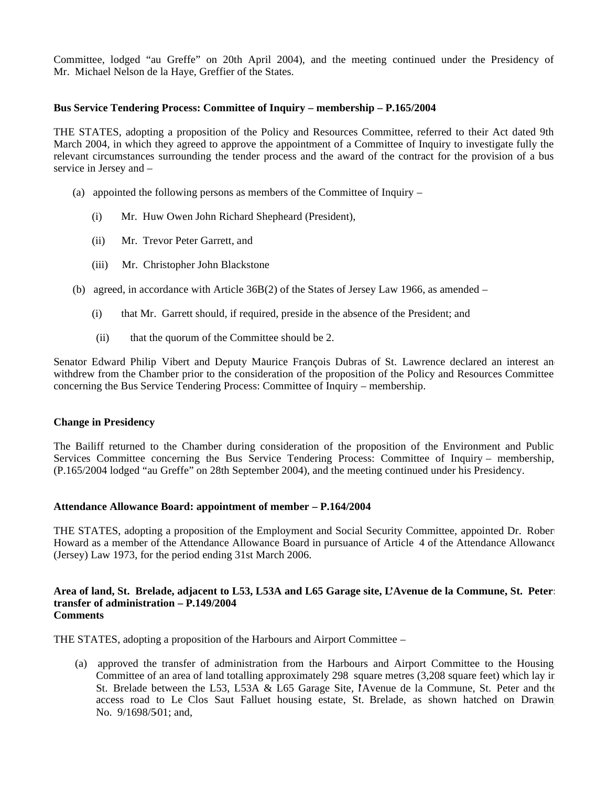Committee, lodged "au Greffe" on 20th April 2004), and the meeting continued under the Presidency of Mr. Michael Nelson de la Haye, Greffier of the States.

## **Bus Service Tendering Process: Committee of Inquiry – membership – P.165/2004**

THE STATES, adopting a proposition of the Policy and Resources Committee, referred to their Act dated 9th March 2004, in which they agreed to approve the appointment of a Committee of Inquiry to investigate fully the relevant circumstances surrounding the tender process and the award of the contract for the provision of a bus service in Jersey and –

- (a) appointed the following persons as members of the Committee of Inquiry
	- (i) Mr. Huw Owen John Richard Shepheard (President),
	- (ii) Mr. Trevor Peter Garrett, and
	- (iii) Mr. Christopher John Blackstone
- (b) agreed, in accordance with Article 36B(2) of the States of Jersey Law 1966, as amended
	- (i) that Mr. Garrett should, if required, preside in the absence of the President; and
	- (ii) that the quorum of the Committee should be 2.

Senator Edward Philip Vibert and Deputy Maurice François Dubras of St. Lawrence declared an interest an withdrew from the Chamber prior to the consideration of the proposition of the Policy and Resources Committee concerning the Bus Service Tendering Process: Committee of Inquiry – membership.

#### **Change in Presidency**

The Bailiff returned to the Chamber during consideration of the proposition of the Environment and Public Services Committee concerning the Bus Service Tendering Process: Committee of Inquiry – membership, (P.165/2004 lodged "au Greffe" on 28th September 2004), and the meeting continued under his Presidency.

#### **Attendance Allowance Board: appointment of member – P.164/2004**

THE STATES, adopting a proposition of the Employment and Social Security Committee, appointed Dr. Robert Howard as a member of the Attendance Allowance Board in pursuance of Article 4 of the Attendance Allowance (Jersey) Law 1973, for the period ending 31st March 2006.

#### **Area of land, St. Brelade, adjacent to L53, L53A and L65 Garage site, L'Avenue de la Commune, St. Peter: transfer of administration – P.149/2004 Comments**

THE STATES, adopting a proposition of the Harbours and Airport Committee –

 (a) approved the transfer of administration from the Harbours and Airport Committee to the Housing Committee of an area of land totalling approximately 298 square metres (3,208 square feet) which lay in St. Brelade between the L53, L53A & L65 Garage Site, l'Avenue de la Commune, St. Peter and the access road to Le Clos Saut Falluet housing estate, St. Brelade, as shown hatched on Drawing No. 9/1698/501; and,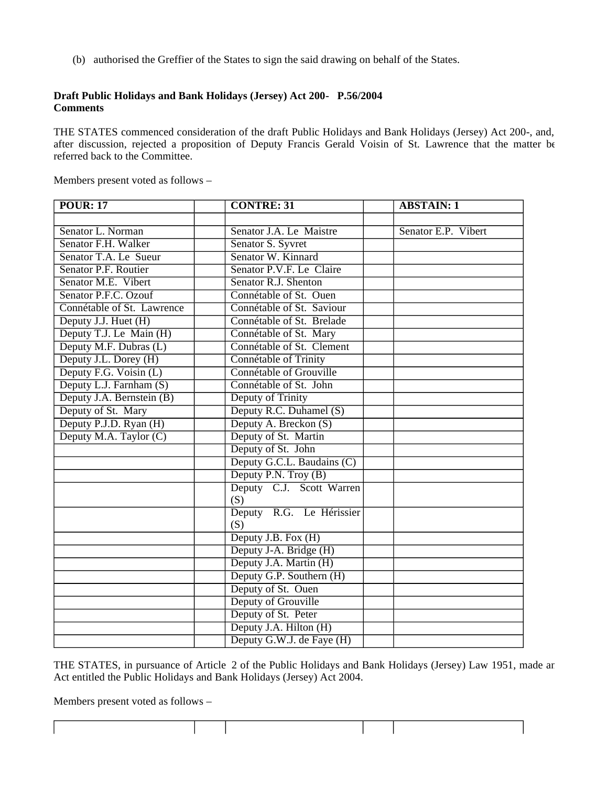(b) authorised the Greffier of the States to sign the said drawing on behalf of the States.

## **Draft Public Holidays and Bank Holidays (Jersey) Act 200- P.56/2004 Comments**

THE STATES commenced consideration of the draft Public Holidays and Bank Holidays (Jersey) Act 200-, and, after discussion, rejected a proposition of Deputy Francis Gerald Voisin of St. Lawrence that the matter be referred back to the Committee.

Members present voted as follows –

| <b>POUR: 17</b>            | <b>CONTRE: 31</b>          | <b>ABSTAIN: 1</b>   |
|----------------------------|----------------------------|---------------------|
|                            |                            |                     |
| Senator L. Norman          | Senator J.A. Le Maistre    | Senator E.P. Vibert |
| Senator F.H. Walker        | Senator S. Syvret          |                     |
| Senator T.A. Le Sueur      | Senator W. Kinnard         |                     |
| Senator P.F. Routier       | Senator P.V.F. Le Claire   |                     |
| Senator M.E. Vibert        | Senator R.J. Shenton       |                     |
| Senator P.F.C. Ozouf       | Connétable of St. Ouen     |                     |
| Connétable of St. Lawrence | Connétable of St. Saviour  |                     |
| Deputy J.J. Huet (H)       | Connétable of St. Brelade  |                     |
| Deputy T.J. Le Main (H)    | Connétable of St. Mary     |                     |
| Deputy M.F. Dubras (L)     | Connétable of St. Clement  |                     |
| Deputy J.L. Dorey (H)      | Connétable of Trinity      |                     |
| Deputy F.G. Voisin (L)     | Connétable of Grouville    |                     |
| Deputy L.J. Farnham (S)    | Connétable of St. John     |                     |
| Deputy J.A. Bernstein (B)  | Deputy of Trinity          |                     |
| Deputy of St. Mary         | Deputy R.C. Duhamel (S)    |                     |
| Deputy P.J.D. Ryan (H)     | Deputy A. Breckon (S)      |                     |
| Deputy M.A. Taylor (C)     | Deputy of St. Martin       |                     |
|                            | Deputy of St. John         |                     |
|                            | Deputy G.C.L. Baudains (C) |                     |
|                            | Deputy P.N. Troy (B)       |                     |
|                            | Deputy C.J. Scott Warren   |                     |
|                            | (S)                        |                     |
|                            | Deputy R.G. Le Hérissier   |                     |
|                            | (S)                        |                     |
|                            | Deputy J.B. Fox (H)        |                     |
|                            | Deputy J-A. Bridge (H)     |                     |
|                            | Deputy J.A. Martin (H)     |                     |
|                            | Deputy G.P. Southern (H)   |                     |
|                            | Deputy of St. Ouen         |                     |
|                            | Deputy of Grouville        |                     |
|                            | Deputy of St. Peter        |                     |
|                            | Deputy J.A. Hilton (H)     |                     |
|                            | Deputy G.W.J. de Faye (H)  |                     |

THE STATES, in pursuance of Article 2 of the Public Holidays and Bank Holidays (Jersey) Law 1951, made an Act entitled the Public Holidays and Bank Holidays (Jersey) Act 2004.